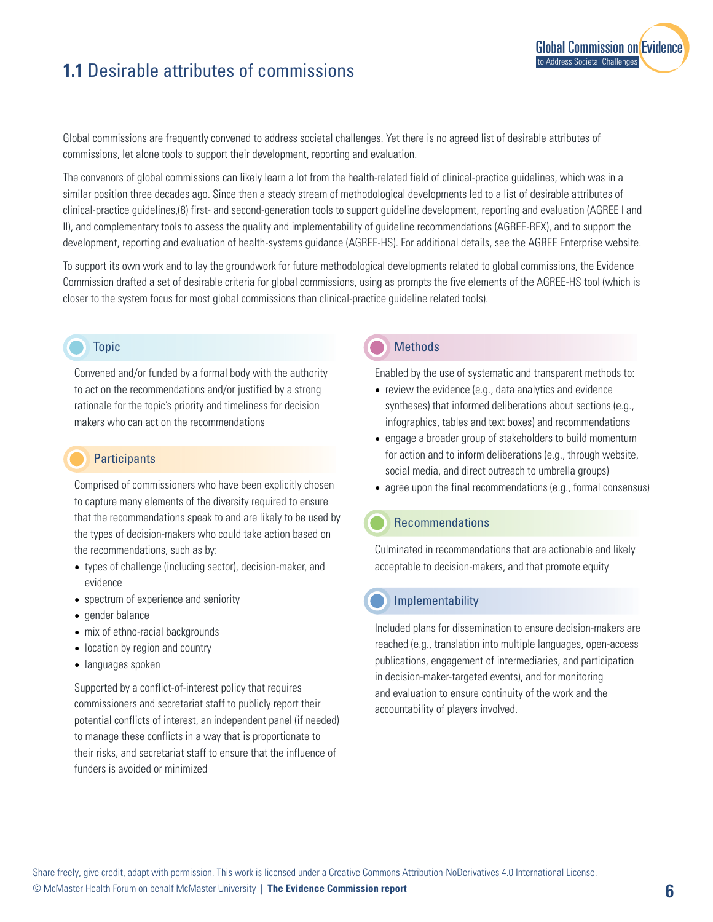# **1.1** Desirable attributes of commissions

Global commissions are frequently convened to address societal challenges. Yet there is no agreed list of desirable attributes of commissions, let alone tools to support their development, reporting and evaluation.

The convenors of global commissions can likely learn a lot from the health-related field of clinical-practice guidelines, which was in a similar position three decades ago. Since then a steady stream of methodological developments led to a list of desirable attributes of clinical-practice guidelines,(8) first- and second-generation tools to support guideline development, reporting and evaluation (AGREE I and II), and complementary tools to assess the quality and implementability of guideline recommendations (AGREE-REX), and to support the development, reporting and evaluation of health-systems guidance (AGREE-HS). For additional details, see the AGREE Enterprise website.

To support its own work and to lay the groundwork for future methodological developments related to global commissions, the Evidence Commission drafted a set of desirable criteria for global commissions, using as prompts the five elements of the AGREE-HS tool (which is closer to the system focus for most global commissions than clinical-practice guideline related tools).

#### Topic

Convened and/or funded by a formal body with the authority to act on the recommendations and/or justified by a strong rationale for the topic's priority and timeliness for decision makers who can act on the recommendations

### **Participants**

Comprised of commissioners who have been explicitly chosen to capture many elements of the diversity required to ensure that the recommendations speak to and are likely to be used by the types of decision-makers who could take action based on the recommendations, such as by:

- types of challenge (including sector), decision-maker, and evidence
- spectrum of experience and seniority
- gender balance
- mix of ethno-racial backgrounds
- location by region and country
- languages spoken

Supported by a conflict-of-interest policy that requires commissioners and secretariat staff to publicly report their potential conflicts of interest, an independent panel (if needed) to manage these conflicts in a way that is proportionate to their risks, and secretariat staff to ensure that the influence of funders is avoided or minimized

# **Methods**

Enabled by the use of systematic and transparent methods to:

**[Global Commission on Evidence](https://www.mcmasterforum.org/networks/evidence-commission/report/english)** 

to Address Societal Challenges

- review the evidence (e.g., data analytics and evidence syntheses) that informed deliberations about sections (e.g., infographics, tables and text boxes) and recommendations
- engage a broader group of stakeholders to build momentum for action and to inform deliberations (e.g., through website, social media, and direct outreach to umbrella groups)
- agree upon the final recommendations (e.g., formal consensus)

#### Recommendations

Culminated in recommendations that are actionable and likely acceptable to decision-makers, and that promote equity

## **Implementability**

Included plans for dissemination to ensure decision-makers are reached (e.g., translation into multiple languages, open-access publications, engagement of intermediaries, and participation in decision-maker-targeted events), and for monitoring and evaluation to ensure continuity of the work and the accountability of players involved.